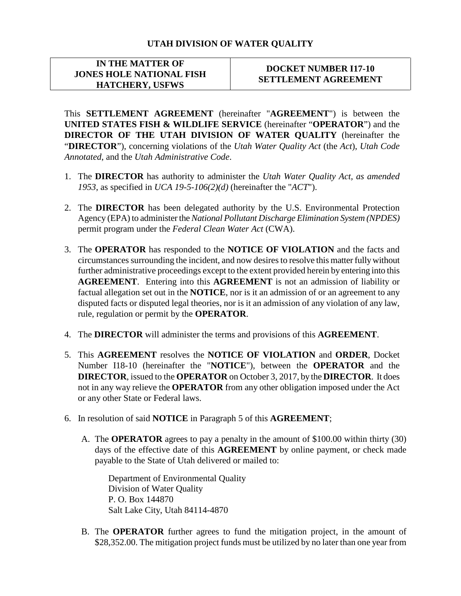## **UTAH DIVISION OF WATER QUALITY**

## **IN THE MATTER OF JONES HOLE NATIONAL FISH HATCHERY, USFWS**

## **DOCKET NUMBER I17-10 SETTLEMENT AGREEMENT**

This **SETTLEMENT AGREEMENT** (hereinafter "**AGREEMENT**") is between the **UNITED STATES FISH & WILDLIFE SERVICE** (hereinafter "**OPERATOR**") and the **DIRECTOR OF THE UTAH DIVISION OF WATER QUALITY** (hereinafter the "**DIRECTOR**"), concerning violations of the *Utah Water Quality Act* (the *Act*), *Utah Code Annotated*, and the *Utah Administrative Code*.

- 1. The **DIRECTOR** has authority to administer the *Utah Water Quality Act, as amended 1953*, as specified in *UCA 19-5-106(2)(d)* (hereinafter the "*ACT*").
- 2. The **DIRECTOR** has been delegated authority by the U.S. Environmental Protection Agency (EPA) to administer the *National Pollutant Discharge Elimination System (NPDES)* permit program under the *Federal Clean Water Act* (CWA).
- 3. The **OPERATOR** has responded to the **NOTICE OF VIOLATION** and the facts and circumstances surrounding the incident, and now desiresto resolve this matter fully without further administrative proceedings except to the extent provided herein by entering into this **AGREEMENT**. Entering into this **AGREEMENT** is not an admission of liability or factual allegation set out in the **NOTICE**, nor is it an admission of or an agreement to any disputed facts or disputed legal theories, nor is it an admission of any violation of any law, rule, regulation or permit by the **OPERATOR**.
- 4. The **DIRECTOR** will administer the terms and provisions of this **AGREEMENT**.
- 5. This **AGREEMENT** resolves the **NOTICE OF VIOLATION** and **ORDER**, Docket Number I18-10 (hereinafter the "**NOTICE**"), between the **OPERATOR** and the **DIRECTOR**, issued to the **OPERATOR** on October 3, 2017, by the **DIRECTOR**. It does not in any way relieve the **OPERATOR** from any other obligation imposed under the Act or any other State or Federal laws.
- 6. In resolution of said **NOTICE** in Paragraph 5 of this **AGREEMENT**;
	- A. The **OPERATOR** agrees to pay a penalty in the amount of \$100.00 within thirty (30) days of the effective date of this **AGREEMENT** by online payment, or check made payable to the State of Utah delivered or mailed to:

Department of Environmental Quality Division of Water Quality P. O. Box 144870 Salt Lake City, Utah 84114-4870

B. The **OPERATOR** further agrees to fund the mitigation project, in the amount of \$28,352.00. The mitigation project funds must be utilized by no later than one year from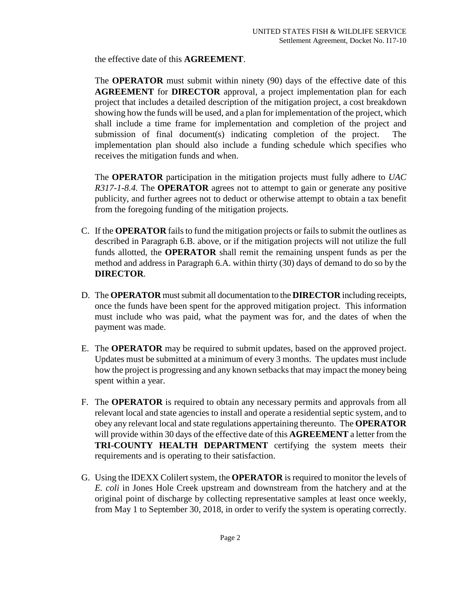the effective date of this **AGREEMENT**.

The **OPERATOR** must submit within ninety (90) days of the effective date of this **AGREEMENT** for **DIRECTOR** approval, a project implementation plan for each project that includes a detailed description of the mitigation project, a cost breakdown showing how the funds will be used, and a plan for implementation of the project, which shall include a time frame for implementation and completion of the project and submission of final document(s) indicating completion of the project. The implementation plan should also include a funding schedule which specifies who receives the mitigation funds and when.

The **OPERATOR** participation in the mitigation projects must fully adhere to *UAC R317-1-8.4.* The **OPERATOR** agrees not to attempt to gain or generate any positive publicity, and further agrees not to deduct or otherwise attempt to obtain a tax benefit from the foregoing funding of the mitigation projects.

- C. If the **OPERATOR** fails to fund the mitigation projects or fails to submit the outlines as described in Paragraph 6.B. above, or if the mitigation projects will not utilize the full funds allotted, the **OPERATOR** shall remit the remaining unspent funds as per the method and address in Paragraph 6.A. within thirty (30) days of demand to do so by the **DIRECTOR**.
- D. The **OPERATOR** must submit all documentation to the **DIRECTOR** including receipts, once the funds have been spent for the approved mitigation project. This information must include who was paid, what the payment was for, and the dates of when the payment was made.
- E. The **OPERATOR** may be required to submit updates, based on the approved project. Updates must be submitted at a minimum of every 3 months. The updates must include how the project is progressing and any known setbacks that may impact the money being spent within a year.
- F. The **OPERATOR** is required to obtain any necessary permits and approvals from all relevant local and state agencies to install and operate a residential septic system, and to obey any relevant local and state regulations appertaining thereunto. The **OPERATOR** will provide within 30 days of the effective date of this **AGREEMENT** a letter from the **TRI-COUNTY HEALTH DEPARTMENT** certifying the system meets their requirements and is operating to their satisfaction.
- G. Using the IDEXX Colilert system, the **OPERATOR** is required to monitor the levels of *E. coli* in Jones Hole Creek upstream and downstream from the hatchery and at the original point of discharge by collecting representative samples at least once weekly, from May 1 to September 30, 2018, in order to verify the system is operating correctly.